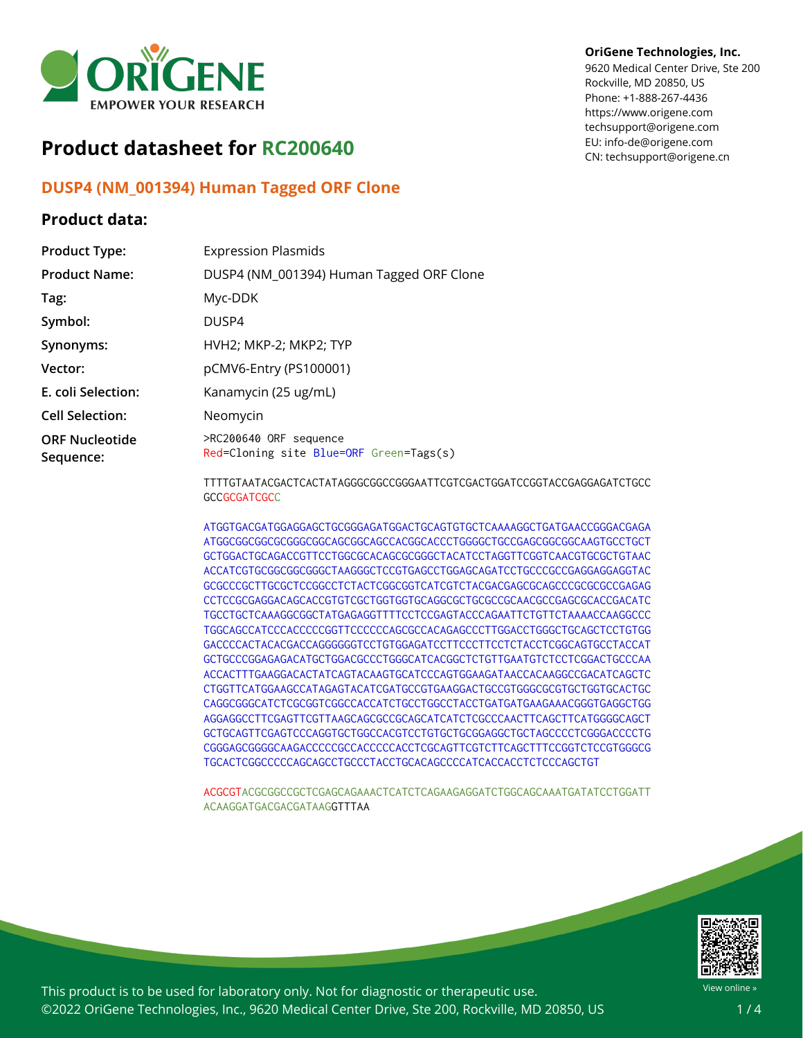

# **Product datasheet for RC200640**

## **DUSP4 (NM\_001394) Human Tagged ORF Clone**

## **Product data:**

#### **OriGene Technologies, Inc.**

9620 Medical Center Drive, Ste 200 Rockville, MD 20850, US Phone: +1-888-267-4436 https://www.origene.com techsupport@origene.com EU: info-de@origene.com CN: techsupport@origene.cn

| <b>Product Type:</b>               | <b>Expression Plasmids</b>                                        |
|------------------------------------|-------------------------------------------------------------------|
| <b>Product Name:</b>               | DUSP4 (NM_001394) Human Tagged ORF Clone                          |
| Tag:                               | Myc-DDK                                                           |
| Symbol:                            | DUSP4                                                             |
| Synonyms:                          | HVH2; MKP-2; MKP2; TYP                                            |
| Vector:                            | pCMV6-Entry (PS100001)                                            |
| E. coli Selection:                 | Kanamycin (25 ug/mL)                                              |
| <b>Cell Selection:</b>             | Neomycin                                                          |
| <b>ORF Nucleotide</b><br>Sequence: | >RC200640 ORF sequence<br>Red=Cloning site Blue=ORF Green=Tags(s) |
|                                    |                                                                   |

TTTTGTAATACGACTCACTATAGGGCGGCCGGGAATTCGTCGACTGGATCCGGTACCGAGGAGATCTGCC **GCCGCGATCGCC** 

ATGGTGACGATGGAGGAGCTGCGGGAGATGGACTGCAGTGTGCTCAAAAGGCTGATGAACCGGGACGAGA ATGGCGGCGGCGCGGGCGGCAGCGGCAGCCACGGCACCCTGGGGCTGCCGAGCGGCGGCAAGTGCCTGCT GCTGGACTGCAGACCGTTCCTGGCGCACAGCGCGGGCTACATCCTAGGTTCGGTCAACGTGCGCTGTAAC ACCATCGTGCGGCGGCGGGCTAAGGGCTCCGTGAGCCTGGAGCAGATCCTGCCCGCCGAGGAGGAGGTAC GCGCCCGCTTGCGCTCCGGCCTCTACTCGGCGGTCATCGTCTACGACGAGCGCAGCCCGCGCGCCGAGAG CCTCCGCGAGGACAGCACCGTGTCGCTGGTGGTGCAGGCGCTGCGCCGCAACGCCGAGCGCACCGACATC TGCCTGCTCAAAGGCGGCTATGAGAGGTTTTCCTCCGAGTACCCAGAATTCTGTTCTAAAACCAAGGCCC TGGCAGCCATCCCACCCCCGGTTCCCCCCAGCGCCACAGAGCCCTTGGACCTGGGCTGCAGCTCCTGTGG GACCCCACTACACGACCAGGGGGGTCCTGTGGAGATCCTTCCCTTCCTCTACCTCGGCAGTGCCTACCAT GCTGCCCGGAGAGACATGCTGGACGCCCTGGGCATCACGGCTCTGTTGAATGTCTCCTCGGACTGCCCAA ACCACTTTGAAGGACACTATCAGTACAAGTGCATCCCAGTGGAAGATAACCACAAGGCCGACATCAGCTC CTGGTTCATGGAAGCCATAGAGTACATCGATGCCGTGAAGGACTGCCGTGGGCGCGTGCTGGTGCACTGC CAGGCGGGCATCTCGCGGTCGGCCACCATCTGCCTGGCCTACCTGATGATGAAGAAACGGGTGAGGCTGG AGGAGGCCTTCGAGTTCGTTAAGCAGCGCCGCAGCATCATCTCGCCCAACTTCAGCTTCATGGGGCAGCT GCTGCAGTTCGAGTCCCAGGTGCTGGCCACGTCCTGTGCTGCGGAGGCTGCTAGCCCCTCGGGACCCCTG CGGGAGCGGGGCAAGACCCCCGCCACCCCCACCTCGCAGTTCGTCTTCAGCTTTCCGGTCTCCGTGGGCG TGCACTCGGCCCCCAGCAGCCTGCCCTACCTGCACAGCCCCATCACCACCTCTCCCAGCTGT

ACGCGTACGCGGCCGCTCGAGCAGAAACTCATCTCAGAAGAGGATCTGGCAGCAAATGATATCCTGGATT ACAAGGATGACGACGATAAGGTTTAA



View online »

This product is to be used for laboratory only. Not for diagnostic or therapeutic use. ©2022 OriGene Technologies, Inc., 9620 Medical Center Drive, Ste 200, Rockville, MD 20850, US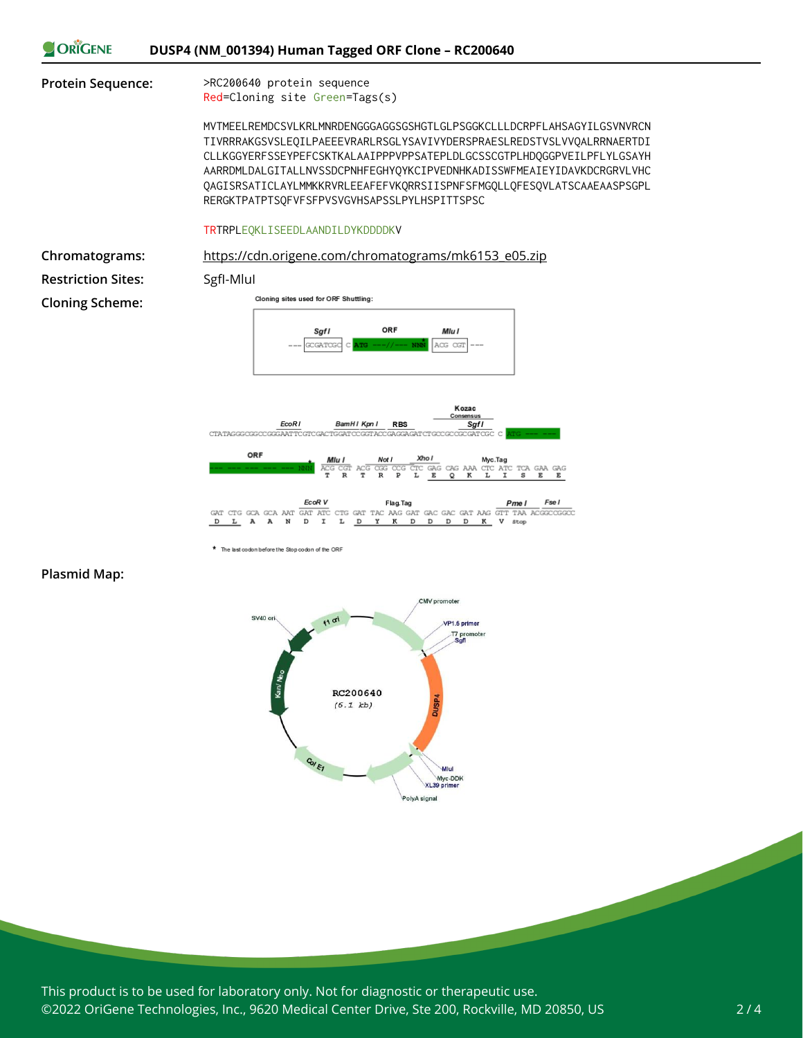

|  |  |                                   |  | <b>EcoR</b> V | Flag. Tag |  |  |  |  |  |  |  |  | Pme I | Fse I                                                                              |
|--|--|-----------------------------------|--|---------------|-----------|--|--|--|--|--|--|--|--|-------|------------------------------------------------------------------------------------|
|  |  |                                   |  |               |           |  |  |  |  |  |  |  |  |       | GAT CTG GCA GCA AAT GAT ATC CTG GAT TAC AAG GAT GAC GAC GAT AAG GTT TAA ACGGCCGGCC |
|  |  | DLA ANDIL <u>DYK</u> DDD K V stop |  |               |           |  |  |  |  |  |  |  |  |       |                                                                                    |

The last codon before the Stop codon of the ORF

#### **Plasmid Map:**



This product is to be used for laboratory only. Not for diagnostic or therapeutic use. ©2022 OriGene Technologies, Inc., 9620 Medical Center Drive, Ste 200, Rockville, MD 20850, US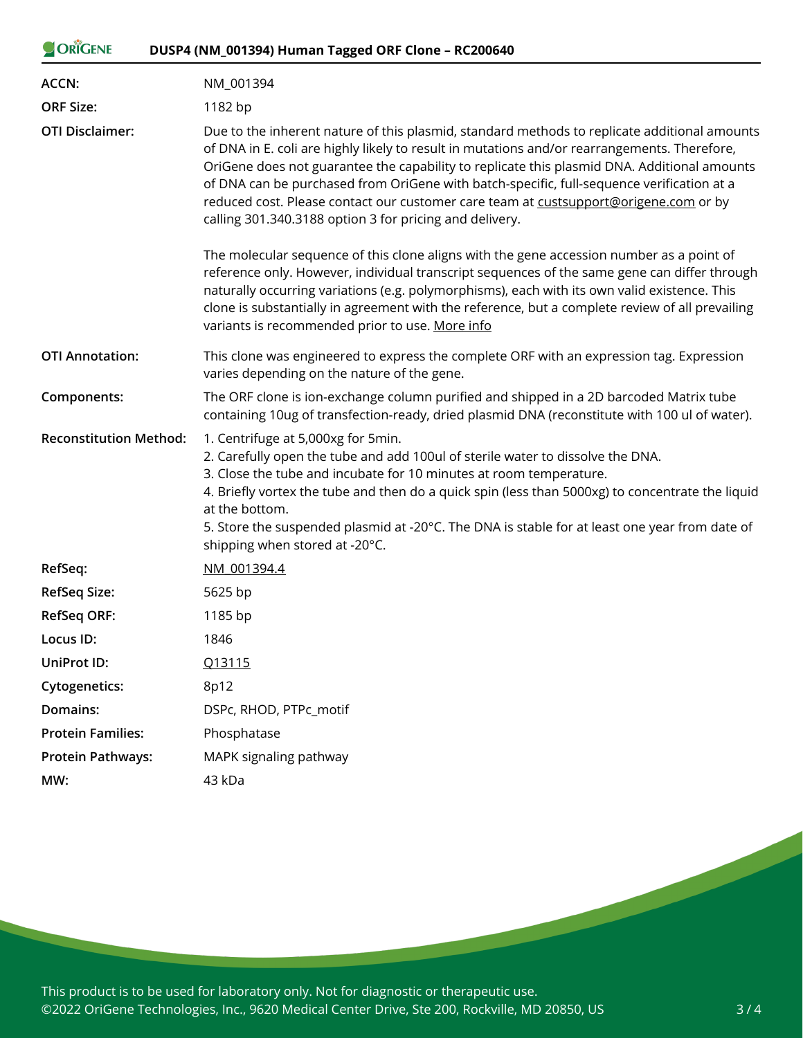| ORIGENE                       | DUSP4 (NM_001394) Human Tagged ORF Clone - RC200640                                                                                                                                                                                                                                                                                                                                                                                                                                                                                         |  |  |  |  |  |  |  |
|-------------------------------|---------------------------------------------------------------------------------------------------------------------------------------------------------------------------------------------------------------------------------------------------------------------------------------------------------------------------------------------------------------------------------------------------------------------------------------------------------------------------------------------------------------------------------------------|--|--|--|--|--|--|--|
| ACCN:                         | NM_001394                                                                                                                                                                                                                                                                                                                                                                                                                                                                                                                                   |  |  |  |  |  |  |  |
| <b>ORF Size:</b>              | 1182 bp                                                                                                                                                                                                                                                                                                                                                                                                                                                                                                                                     |  |  |  |  |  |  |  |
| <b>OTI Disclaimer:</b>        | Due to the inherent nature of this plasmid, standard methods to replicate additional amounts<br>of DNA in E. coli are highly likely to result in mutations and/or rearrangements. Therefore,<br>OriGene does not guarantee the capability to replicate this plasmid DNA. Additional amounts<br>of DNA can be purchased from OriGene with batch-specific, full-sequence verification at a<br>reduced cost. Please contact our customer care team at custsupport@origene.com or by<br>calling 301.340.3188 option 3 for pricing and delivery. |  |  |  |  |  |  |  |
|                               | The molecular sequence of this clone aligns with the gene accession number as a point of<br>reference only. However, individual transcript sequences of the same gene can differ through<br>naturally occurring variations (e.g. polymorphisms), each with its own valid existence. This<br>clone is substantially in agreement with the reference, but a complete review of all prevailing<br>variants is recommended prior to use. More info                                                                                              |  |  |  |  |  |  |  |
| <b>OTI Annotation:</b>        | This clone was engineered to express the complete ORF with an expression tag. Expression<br>varies depending on the nature of the gene.                                                                                                                                                                                                                                                                                                                                                                                                     |  |  |  |  |  |  |  |
| Components:                   | The ORF clone is ion-exchange column purified and shipped in a 2D barcoded Matrix tube<br>containing 10ug of transfection-ready, dried plasmid DNA (reconstitute with 100 ul of water).                                                                                                                                                                                                                                                                                                                                                     |  |  |  |  |  |  |  |
| <b>Reconstitution Method:</b> | 1. Centrifuge at 5,000xg for 5min.<br>2. Carefully open the tube and add 100ul of sterile water to dissolve the DNA.<br>3. Close the tube and incubate for 10 minutes at room temperature.<br>4. Briefly vortex the tube and then do a quick spin (less than 5000xg) to concentrate the liquid<br>at the bottom.<br>5. Store the suspended plasmid at -20°C. The DNA is stable for at least one year from date of<br>shipping when stored at -20°C.                                                                                         |  |  |  |  |  |  |  |
| RefSeq:                       | NM 001394.4                                                                                                                                                                                                                                                                                                                                                                                                                                                                                                                                 |  |  |  |  |  |  |  |
| <b>RefSeq Size:</b>           | 5625 bp                                                                                                                                                                                                                                                                                                                                                                                                                                                                                                                                     |  |  |  |  |  |  |  |
| <b>RefSeq ORF:</b>            | 1185 bp                                                                                                                                                                                                                                                                                                                                                                                                                                                                                                                                     |  |  |  |  |  |  |  |
| Locus ID:                     | 1846                                                                                                                                                                                                                                                                                                                                                                                                                                                                                                                                        |  |  |  |  |  |  |  |
| UniProt ID:                   | Q13115                                                                                                                                                                                                                                                                                                                                                                                                                                                                                                                                      |  |  |  |  |  |  |  |
| <b>Cytogenetics:</b>          | 8p12                                                                                                                                                                                                                                                                                                                                                                                                                                                                                                                                        |  |  |  |  |  |  |  |
| Domains:                      | DSPc, RHOD, PTPc_motif                                                                                                                                                                                                                                                                                                                                                                                                                                                                                                                      |  |  |  |  |  |  |  |
| <b>Protein Families:</b>      | Phosphatase                                                                                                                                                                                                                                                                                                                                                                                                                                                                                                                                 |  |  |  |  |  |  |  |
| <b>Protein Pathways:</b>      | MAPK signaling pathway                                                                                                                                                                                                                                                                                                                                                                                                                                                                                                                      |  |  |  |  |  |  |  |
| MW:                           | 43 kDa                                                                                                                                                                                                                                                                                                                                                                                                                                                                                                                                      |  |  |  |  |  |  |  |
|                               |                                                                                                                                                                                                                                                                                                                                                                                                                                                                                                                                             |  |  |  |  |  |  |  |

This product is to be used for laboratory only. Not for diagnostic or therapeutic use. ©2022 OriGene Technologies, Inc., 9620 Medical Center Drive, Ste 200, Rockville, MD 20850, US